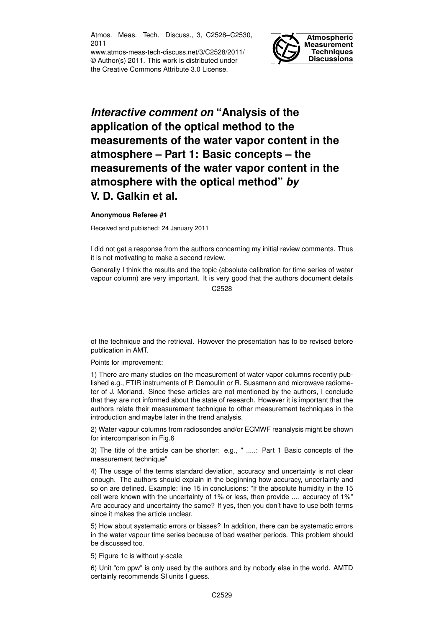Atmos. Meas. Tech. Discuss., 3, C2528–C2530, 2011

www.atmos-meas-tech-discuss.net/3/C2528/2011/ © Author(s) 2011. This work is distributed under the Creative Commons Attribute 3.0 License.



## *Interactive comment on* **"Analysis of the application of the optical method to the measurements of the water vapor content in the atmosphere – Part 1: Basic concepts – the measurements of the water vapor content in the atmosphere with the optical method"** *by* **V. D. Galkin et al.**

## **Anonymous Referee #1**

Received and published: 24 January 2011

I did not get a response from the authors concerning my initial review comments. Thus it is not motivating to make a second review.

Generally I think the results and the topic (absolute calibration for time series of water vapour column) are very important. It is very good that the authors document details C<sub>2528</sub>

of the technique and the retrieval. However the presentation has to be revised before publication in AMT.

Points for improvement:

1) There are many studies on the measurement of water vapor columns recently published e.g., FTIR instruments of P. Demoulin or R. Sussmann and microwave radiometer of J. Morland. Since these articles are not mentioned by the authors, I conclude that they are not informed about the state of research. However it is important that the authors relate their measurement technique to other measurement techniques in the introduction and maybe later in the trend analysis.

2) Water vapour columns from radiosondes and/or ECMWF reanalysis might be shown for intercomparison in Fig.6

3) The title of the article can be shorter: e.g., " .....: Part 1 Basic concepts of the measurement technique"

4) The usage of the terms standard deviation, accuracy and uncertainty is not clear enough. The authors should explain in the beginning how accuracy, uncertainty and so on are defined. Example: line 15 in conclusions: "If the absolute humidity in the 15 cell were known with the uncertainty of 1% or less, then provide .... accuracy of 1%" Are accuracy and uncertainty the same? If yes, then you don't have to use both terms since it makes the article unclear.

5) How about systematic errors or biases? In addition, there can be systematic errors in the water vapour time series because of bad weather periods. This problem should be discussed too.

5) Figure 1c is without y-scale

6) Unit "cm ppw" is only used by the authors and by nobody else in the world. AMTD certainly recommends SI units I guess.